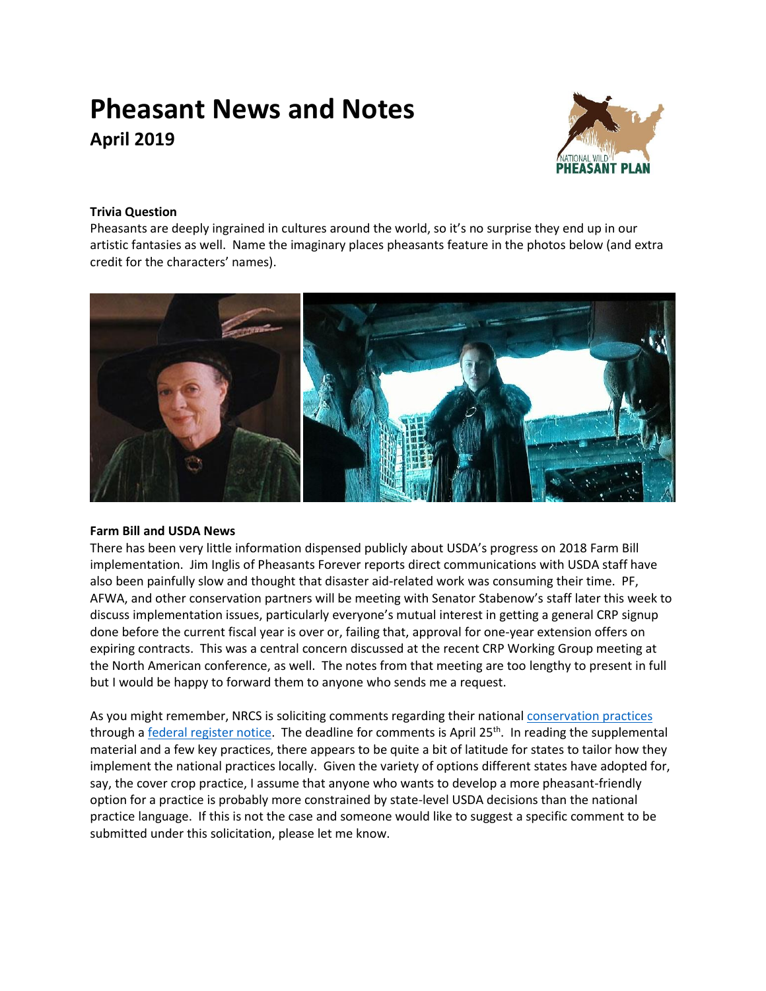# **Pheasant News and Notes April 2019**



## **Trivia Question**

Pheasants are deeply ingrained in cultures around the world, so it's no surprise they end up in our artistic fantasies as well. Name the imaginary places pheasants feature in the photos below (and extra credit for the characters' names).



## **Farm Bill and USDA News**

There has been very little information dispensed publicly about USDA's progress on 2018 Farm Bill implementation. Jim Inglis of Pheasants Forever reports direct communications with USDA staff have also been painfully slow and thought that disaster aid-related work was consuming their time. PF, AFWA, and other conservation partners will be meeting with Senator Stabenow's staff later this week to discuss implementation issues, particularly everyone's mutual interest in getting a general CRP signup done before the current fiscal year is over or, failing that, approval for one-year extension offers on expiring contracts. This was a central concern discussed at the recent CRP Working Group meeting at the North American conference, as well. The notes from that meeting are too lengthy to present in full but I would be happy to forward them to anyone who sends me a request.

As you might remember, NRCS is soliciting comments regarding their national [conservation practices](https://www.nrcs.usda.gov/wps/portal/nrcs/detailfull/national/technical/cp/ncps/?cid=nrcs143_026849) through a [federal register notice.](https://www.federalregister.gov/documents/2019/03/11/2019-04290/review-of-usda-natural-resources-conservation-service-national-conservation-practice-standards?utm_campaign=subscription%20mailing%20list&utm_source=federalregister.gov&utm_medium=email) The deadline for comments is April 25<sup>th</sup>. In reading the supplemental material and a few key practices, there appears to be quite a bit of latitude for states to tailor how they implement the national practices locally. Given the variety of options different states have adopted for, say, the cover crop practice, I assume that anyone who wants to develop a more pheasant-friendly option for a practice is probably more constrained by state-level USDA decisions than the national practice language. If this is not the case and someone would like to suggest a specific comment to be submitted under this solicitation, please let me know.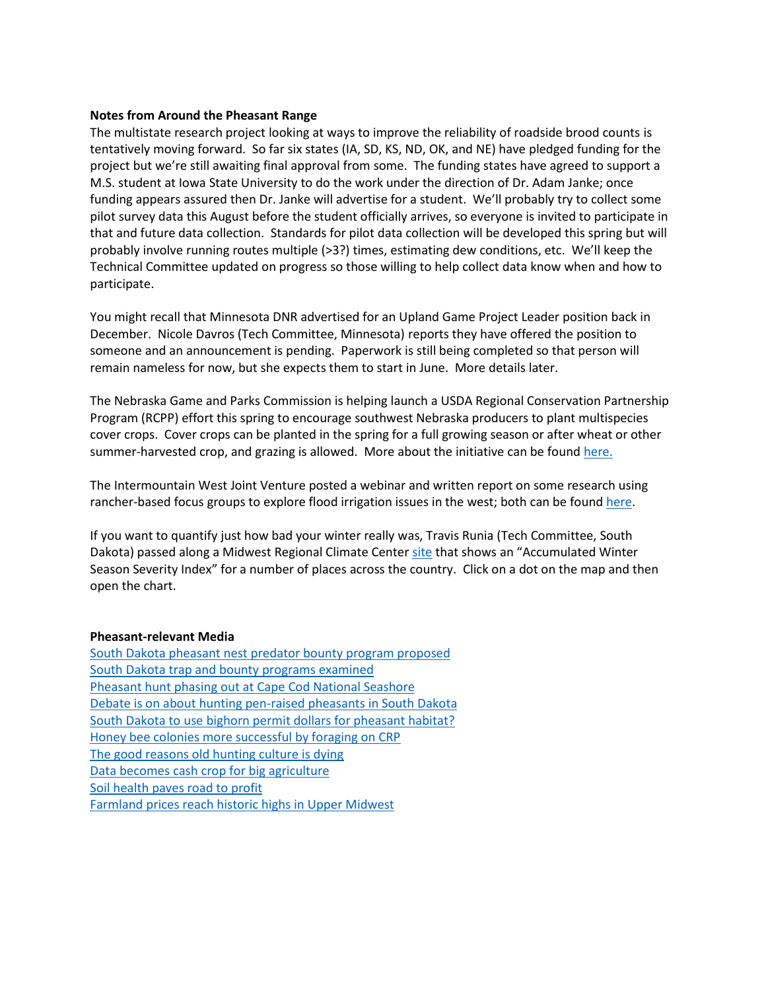#### **Notes from Around the Pheasant Range**

The multistate research project looking at ways to improve the reliability of roadside brood counts is tentatively moving forward. So far six states (IA, SD, KS, ND, OK, and NE) have pledged funding for the project but we're still awaiting final approval from some. The funding states have agreed to support a M.S. student at Iowa State University to do the work under the direction of Dr. Adam Janke; once funding appears assured then Dr. Janke will advertise for a student. We'll probably try to collect some pilot survey data this August before the student officially arrives, so everyone is invited to participate in that and future data collection. Standards for pilot data collection will be developed this spring but will probably involve running routes multiple (>3?) times, estimating dew conditions, etc. We'll keep the Technical Committee updated on progress so those willing to help collect data know when and how to participate.

You might recall that Minnesota DNR advertised for an Upland Game Project Leader position back in December. Nicole Davros (Tech Committee, Minnesota) reports they have offered the position to someone and an announcement is pending. Paperwork is still being completed so that person will remain nameless for now, but she expects them to start in June. More details later.

The Nebraska Game and Parks Commission is helping launch a USDA Regional Conservation Partnership Program (RCPP) effort this spring to encourage southwest Nebraska producers to plant multispecies cover crops. Cover crops can be planted in the spring for a full growing season or after wheat or other summer-harvested crop, and grazing is allowed. More about the initiative can be foun[d here.](http://magazine.outdoornebraska.gov/2019/03/producers-in-southwest-nebraska-eligible-for-cover-crop-initiative-2/)

The Intermountain West Joint Venture posted a webinar and written report on some research using rancher-based focus groups to explore flood irrigation issues in the west; both can be foun[d here.](https://iwjv.org/news/digging-deeper-flood-irrigation-webinar-findings)

If you want to quantify just how bad your winter really was, Travis Runia (Tech Committee, South Dakota) passed along a Midwest Regional Climate Cente[r site](https://mrcc.illinois.edu/research/awssi/indexAwssi.jsp) that shows an "Accumulated Winter Season Severity Index" for a number of places across the country. Click on a dot on the map and then open the chart.

#### **Pheasant-relevant Media**

[South Dakota pheasant nest predator bounty program proposed](https://www.mitchellrepublic.com/sports/outdoors/4579780-south-dakota-pheasant-nest-predator-bounty-program-proposed) [South Dakota trap and bounty programs examined](http://www.sdpb.org/blogs/kevinwoster/traps-traps-whos-got-the-traps-predator-control-on-the-fly-becomes-controversial-part-of-noem-pheasant-initiative/) [Pheasant hunt phasing out at Cape Cod National Seashore](https://www.capecodtimes.com/news/20190310/pheasant-hunt-phasing-out-at-cape-cod-national-seashore) [Debate is on about hunting pen-raised pheasants in South Dakota](http://www.startribune.com/debate-is-on-about-hunting-pen-raised-pheasants-in-south-dakota/500758651/) [South Dakota to use bighorn permit dollars for pheasant habitat?](https://www.kotatv.com/content/news/Sheep-tag-changes-cause-controversy-506464441.html?fbclid=IwAR1AzkYL7rhWU-RwiT8v381dD26L_267SkVwhxgDbEkrK6-8ap1xstwTdOw) Honey [bee colonies more successful by foraging on CRP](https://phys.org/news/2019-03-honey-bee-colonies-successful-foraging.html) [The good reasons old hunting culture is dying](https://r3industry.com/index.php/r3/the-good-reasons-old-hunting-culture-is-dying/) [Data becomes cash crop for big agriculture](https://www.bloomberg.com/news/articles/2019-03-13/data-becomes-cash-crop-for-big-agriculture) [Soil health paves road to profit](https://www.agprofessional.com/article/soil-health-paves-road-profit) [Farmland prices reach historic highs in Upper Midwest](http://www.startribune.com/farmland-prices-reach-historic-highs-in-upper-midwest/507852972/)